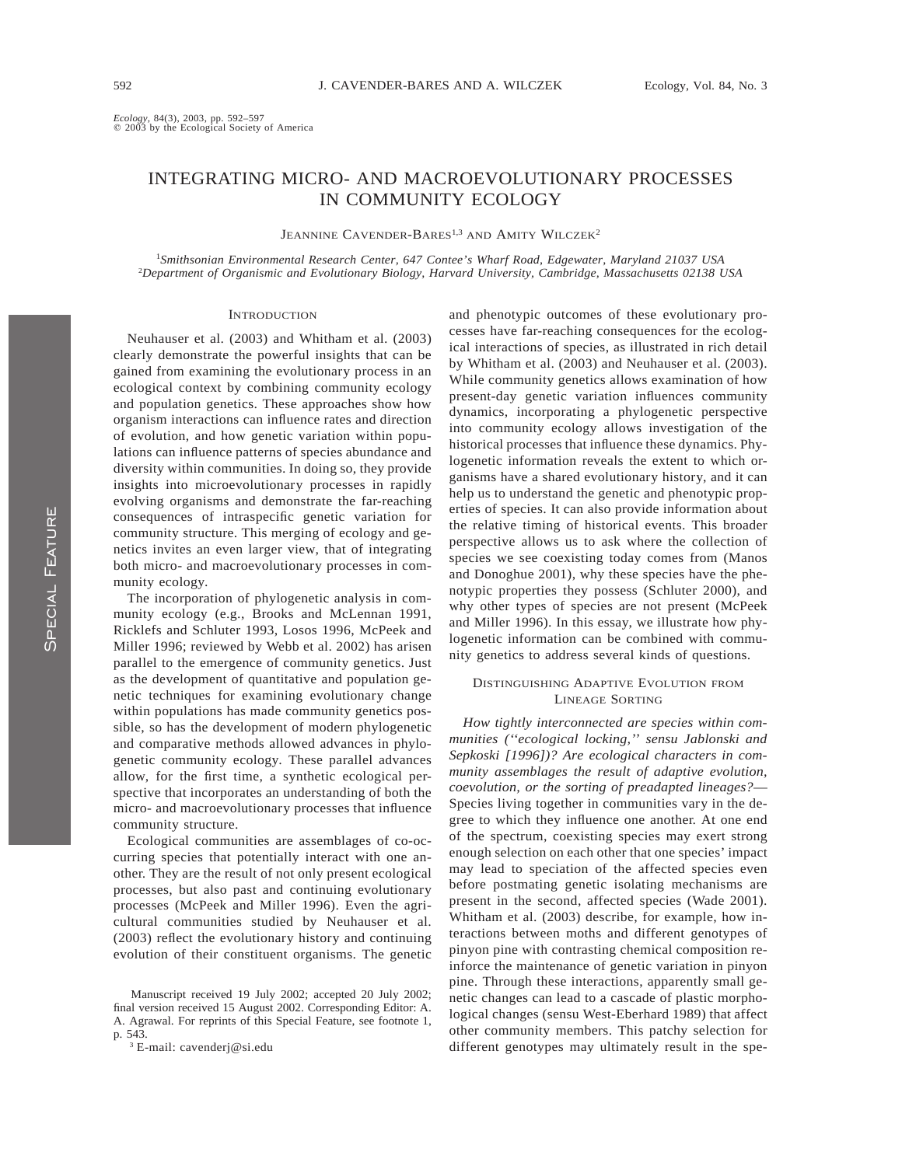# INTEGRATING MICRO- AND MACROEVOLUTIONARY PROCESSES IN COMMUNITY ECOLOGY

JEANNINE CAVENDER-BARES<sup>1,3</sup> AND AMITY WILCZEK<sup>2</sup>

<sup>1</sup>*Smithsonian Environmental Research Center, 647 Contee's Wharf Road, Edgewater, Maryland 21037 USA* 2 *Department of Organismic and Evolutionary Biology, Harvard University, Cambridge, Massachusetts 02138 USA*

## **INTRODUCTION**

Neuhauser et al. (2003) and Whitham et al. (2003) clearly demonstrate the powerful insights that can be gained from examining the evolutionary process in an ecological context by combining community ecology and population genetics. These approaches show how organism interactions can influence rates and direction of evolution, and how genetic variation within populations can influence patterns of species abundance and diversity within communities. In doing so, they provide insights into microevolutionary processes in rapidly evolving organisms and demonstrate the far-reaching consequences of intraspecific genetic variation for community structure. This merging of ecology and genetics invites an even larger view, that of integrating both micro- and macroevolutionary processes in community ecology.

The incorporation of phylogenetic analysis in community ecology (e.g., Brooks and McLennan 1991, Ricklefs and Schluter 1993, Losos 1996, McPeek and Miller 1996; reviewed by Webb et al. 2002) has arisen parallel to the emergence of community genetics. Just as the development of quantitative and population genetic techniques for examining evolutionary change within populations has made community genetics possible, so has the development of modern phylogenetic and comparative methods allowed advances in phylogenetic community ecology. These parallel advances allow, for the first time, a synthetic ecological perspective that incorporates an understanding of both the micro- and macroevolutionary processes that influence community structure.

Ecological communities are assemblages of co-occurring species that potentially interact with one another. They are the result of not only present ecological processes, but also past and continuing evolutionary processes (McPeek and Miller 1996). Even the agricultural communities studied by Neuhauser et al. (2003) reflect the evolutionary history and continuing evolution of their constituent organisms. The genetic

and phenotypic outcomes of these evolutionary processes have far-reaching consequences for the ecological interactions of species, as illustrated in rich detail by Whitham et al. (2003) and Neuhauser et al. (2003). While community genetics allows examination of how present-day genetic variation influences community dynamics, incorporating a phylogenetic perspective into community ecology allows investigation of the historical processes that influence these dynamics. Phylogenetic information reveals the extent to which organisms have a shared evolutionary history, and it can help us to understand the genetic and phenotypic properties of species. It can also provide information about the relative timing of historical events. This broader perspective allows us to ask where the collection of species we see coexisting today comes from (Manos and Donoghue 2001), why these species have the phenotypic properties they possess (Schluter 2000), and why other types of species are not present (McPeek and Miller 1996). In this essay, we illustrate how phylogenetic information can be combined with community genetics to address several kinds of questions.

# DISTINGUISHING ADAPTIVE EVOLUTION FROM LINEAGE SORTING

*How tightly interconnected are species within communities (''ecological locking,'' sensu Jablonski and Sepkoski [1996])? Are ecological characters in community assemblages the result of adaptive evolution, coevolution, or the sorting of preadapted lineages?*— Species living together in communities vary in the degree to which they influence one another. At one end of the spectrum, coexisting species may exert strong enough selection on each other that one species' impact may lead to speciation of the affected species even before postmating genetic isolating mechanisms are present in the second, affected species (Wade 2001). Whitham et al. (2003) describe, for example, how interactions between moths and different genotypes of pinyon pine with contrasting chemical composition reinforce the maintenance of genetic variation in pinyon pine. Through these interactions, apparently small genetic changes can lead to a cascade of plastic morphological changes (sensu West-Eberhard 1989) that affect other community members. This patchy selection for different genotypes may ultimately result in the spe-

Manuscript received 19 July 2002; accepted 20 July 2002; final version received 15 August 2002. Corresponding Editor: A. A. Agrawal. For reprints of this Special Feature, see footnote 1, p. 543.

<sup>3</sup> E-mail: cavenderj@si.edu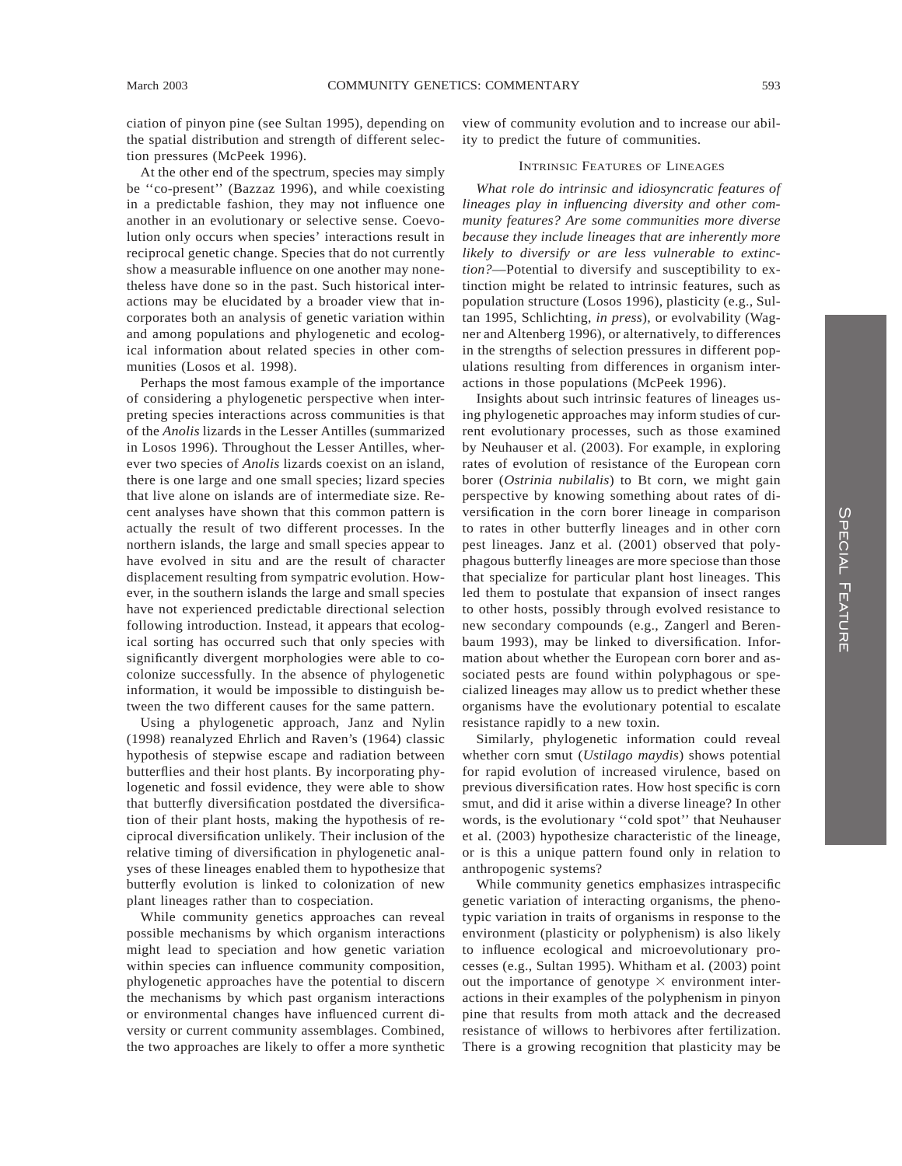ciation of pinyon pine (see Sultan 1995), depending on the spatial distribution and strength of different selection pressures (McPeek 1996).

At the other end of the spectrum, species may simply be ''co-present'' (Bazzaz 1996), and while coexisting in a predictable fashion, they may not influence one another in an evolutionary or selective sense. Coevolution only occurs when species' interactions result in reciprocal genetic change. Species that do not currently show a measurable influence on one another may nonetheless have done so in the past. Such historical interactions may be elucidated by a broader view that incorporates both an analysis of genetic variation within and among populations and phylogenetic and ecological information about related species in other communities (Losos et al. 1998).

Perhaps the most famous example of the importance of considering a phylogenetic perspective when interpreting species interactions across communities is that of the *Anolis* lizards in the Lesser Antilles (summarized in Losos 1996). Throughout the Lesser Antilles, wherever two species of *Anolis* lizards coexist on an island, there is one large and one small species; lizard species that live alone on islands are of intermediate size. Recent analyses have shown that this common pattern is actually the result of two different processes. In the northern islands, the large and small species appear to have evolved in situ and are the result of character displacement resulting from sympatric evolution. However, in the southern islands the large and small species have not experienced predictable directional selection following introduction. Instead, it appears that ecological sorting has occurred such that only species with significantly divergent morphologies were able to cocolonize successfully. In the absence of phylogenetic information, it would be impossible to distinguish between the two different causes for the same pattern.

Using a phylogenetic approach, Janz and Nylin (1998) reanalyzed Ehrlich and Raven's (1964) classic hypothesis of stepwise escape and radiation between butterflies and their host plants. By incorporating phylogenetic and fossil evidence, they were able to show that butterfly diversification postdated the diversification of their plant hosts, making the hypothesis of reciprocal diversification unlikely. Their inclusion of the relative timing of diversification in phylogenetic analyses of these lineages enabled them to hypothesize that butterfly evolution is linked to colonization of new plant lineages rather than to cospeciation.

While community genetics approaches can reveal possible mechanisms by which organism interactions might lead to speciation and how genetic variation within species can influence community composition, phylogenetic approaches have the potential to discern the mechanisms by which past organism interactions or environmental changes have influenced current diversity or current community assemblages. Combined, the two approaches are likely to offer a more synthetic view of community evolution and to increase our ability to predict the future of communities.

#### INTRINSIC FEATURES OF LINEAGES

*What role do intrinsic and idiosyncratic features of lineages play in influencing diversity and other community features? Are some communities more diverse because they include lineages that are inherently more likely to diversify or are less vulnerable to extinction?*—Potential to diversify and susceptibility to extinction might be related to intrinsic features, such as population structure (Losos 1996), plasticity (e.g., Sultan 1995, Schlichting, *in press*), or evolvability (Wagner and Altenberg 1996), or alternatively, to differences in the strengths of selection pressures in different populations resulting from differences in organism interactions in those populations (McPeek 1996).

Insights about such intrinsic features of lineages using phylogenetic approaches may inform studies of current evolutionary processes, such as those examined by Neuhauser et al. (2003). For example, in exploring rates of evolution of resistance of the European corn borer (*Ostrinia nubilalis*) to Bt corn, we might gain perspective by knowing something about rates of diversification in the corn borer lineage in comparison to rates in other butterfly lineages and in other corn pest lineages. Janz et al. (2001) observed that polyphagous butterfly lineages are more speciose than those that specialize for particular plant host lineages. This led them to postulate that expansion of insect ranges to other hosts, possibly through evolved resistance to new secondary compounds (e.g., Zangerl and Berenbaum 1993), may be linked to diversification. Information about whether the European corn borer and associated pests are found within polyphagous or specialized lineages may allow us to predict whether these organisms have the evolutionary potential to escalate resistance rapidly to a new toxin.

Similarly, phylogenetic information could reveal whether corn smut (*Ustilago maydis*) shows potential for rapid evolution of increased virulence, based on previous diversification rates. How host specific is corn smut, and did it arise within a diverse lineage? In other words, is the evolutionary ''cold spot'' that Neuhauser et al. (2003) hypothesize characteristic of the lineage, or is this a unique pattern found only in relation to anthropogenic systems?

While community genetics emphasizes intraspecific genetic variation of interacting organisms, the phenotypic variation in traits of organisms in response to the environment (plasticity or polyphenism) is also likely to influence ecological and microevolutionary processes (e.g., Sultan 1995). Whitham et al. (2003) point out the importance of genotype  $\times$  environment interactions in their examples of the polyphenism in pinyon pine that results from moth attack and the decreased resistance of willows to herbivores after fertilization. There is a growing recognition that plasticity may be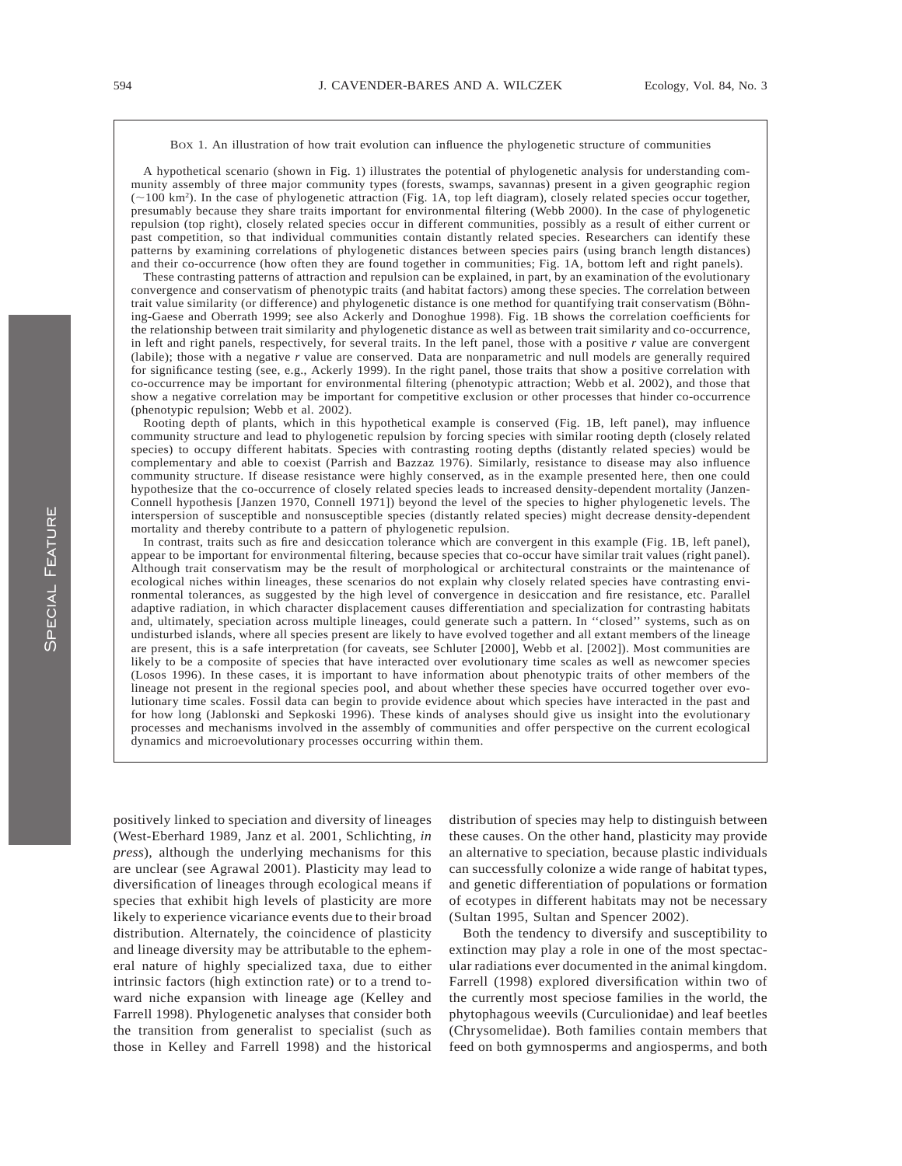## BOX 1. An illustration of how trait evolution can influence the phylogenetic structure of communities

A hypothetical scenario (shown in Fig. 1) illustrates the potential of phylogenetic analysis for understanding community assembly of three major community types (forests, swamps, savannas) present in a given geographic region  $(\sim 100 \text{ km}^2)$ . In the case of phylogenetic attraction (Fig. 1A, top left diagram), closely related species occur together, presumably because they share traits important for environmental filtering (Webb 2000). In the case of phylogenetic repulsion (top right), closely related species occur in different communities, possibly as a result of either current or past competition, so that individual communities contain distantly related species. Researchers can identify these patterns by examining correlations of phylogenetic distances between species pairs (using branch length distances) and their co-occurrence (how often they are found together in communities; Fig. 1A, bottom left and right panels).

These contrasting patterns of attraction and repulsion can be explained, in part, by an examination of the evolutionary convergence and conservatism of phenotypic traits (and habitat factors) among these species. The correlation between trait value similarity (or difference) and phylogenetic distance is one method for quantifying trait conservatism (Böhning-Gaese and Oberrath 1999; see also Ackerly and Donoghue 1998). Fig. 1B shows the correlation coefficients for the relationship between trait similarity and phylogenetic distance as well as between trait similarity and co-occurrence, in left and right panels, respectively, for several traits. In the left panel, those with a positive *r* value are convergent (labile); those with a negative *r* value are conserved. Data are nonparametric and null models are generally required for significance testing (see, e.g., Ackerly 1999). In the right panel, those traits that show a positive correlation with co-occurrence may be important for environmental filtering (phenotypic attraction; Webb et al. 2002), and those that show a negative correlation may be important for competitive exclusion or other processes that hinder co-occurrence (phenotypic repulsion; Webb et al. 2002).

Rooting depth of plants, which in this hypothetical example is conserved (Fig. 1B, left panel), may influence community structure and lead to phylogenetic repulsion by forcing species with similar rooting depth (closely related species) to occupy different habitats. Species with contrasting rooting depths (distantly related species) would be complementary and able to coexist (Parrish and Bazzaz 1976). Similarly, resistance to disease may also influence community structure. If disease resistance were highly conserved, as in the example presented here, then one could hypothesize that the co-occurrence of closely related species leads to increased density-dependent mortality (Janzen-Connell hypothesis [Janzen 1970, Connell 1971]) beyond the level of the species to higher phylogenetic levels. The interspersion of susceptible and nonsusceptible species (distantly related species) might decrease density-dependent mortality and thereby contribute to a pattern of phylogenetic repulsion.

In contrast, traits such as fire and desiccation tolerance which are convergent in this example (Fig. 1B, left panel), appear to be important for environmental filtering, because species that co-occur have similar trait values (right panel). Although trait conservatism may be the result of morphological or architectural constraints or the maintenance of ecological niches within lineages, these scenarios do not explain why closely related species have contrasting environmental tolerances, as suggested by the high level of convergence in desiccation and fire resistance, etc. Parallel adaptive radiation, in which character displacement causes differentiation and specialization for contrasting habitats and, ultimately, speciation across multiple lineages, could generate such a pattern. In ''closed'' systems, such as on undisturbed islands, where all species present are likely to have evolved together and all extant members of the lineage are present, this is a safe interpretation (for caveats, see Schluter [2000], Webb et al. [2002]). Most communities are likely to be a composite of species that have interacted over evolutionary time scales as well as newcomer species (Losos 1996). In these cases, it is important to have information about phenotypic traits of other members of the lineage not present in the regional species pool, and about whether these species have occurred together over evolutionary time scales. Fossil data can begin to provide evidence about which species have interacted in the past and for how long (Jablonski and Sepkoski 1996). These kinds of analyses should give us insight into the evolutionary processes and mechanisms involved in the assembly of communities and offer perspective on the current ecological dynamics and microevolutionary processes occurring within them.

positively linked to speciation and diversity of lineages (West-Eberhard 1989, Janz et al. 2001, Schlichting, *in press*), although the underlying mechanisms for this are unclear (see Agrawal 2001). Plasticity may lead to diversification of lineages through ecological means if species that exhibit high levels of plasticity are more likely to experience vicariance events due to their broad distribution. Alternately, the coincidence of plasticity and lineage diversity may be attributable to the ephemeral nature of highly specialized taxa, due to either intrinsic factors (high extinction rate) or to a trend toward niche expansion with lineage age (Kelley and Farrell 1998). Phylogenetic analyses that consider both the transition from generalist to specialist (such as those in Kelley and Farrell 1998) and the historical

distribution of species may help to distinguish between these causes. On the other hand, plasticity may provide an alternative to speciation, because plastic individuals can successfully colonize a wide range of habitat types, and genetic differentiation of populations or formation of ecotypes in different habitats may not be necessary (Sultan 1995, Sultan and Spencer 2002).

Both the tendency to diversify and susceptibility to extinction may play a role in one of the most spectacular radiations ever documented in the animal kingdom. Farrell (1998) explored diversification within two of the currently most speciose families in the world, the phytophagous weevils (Curculionidae) and leaf beetles (Chrysomelidae). Both families contain members that feed on both gymnosperms and angiosperms, and both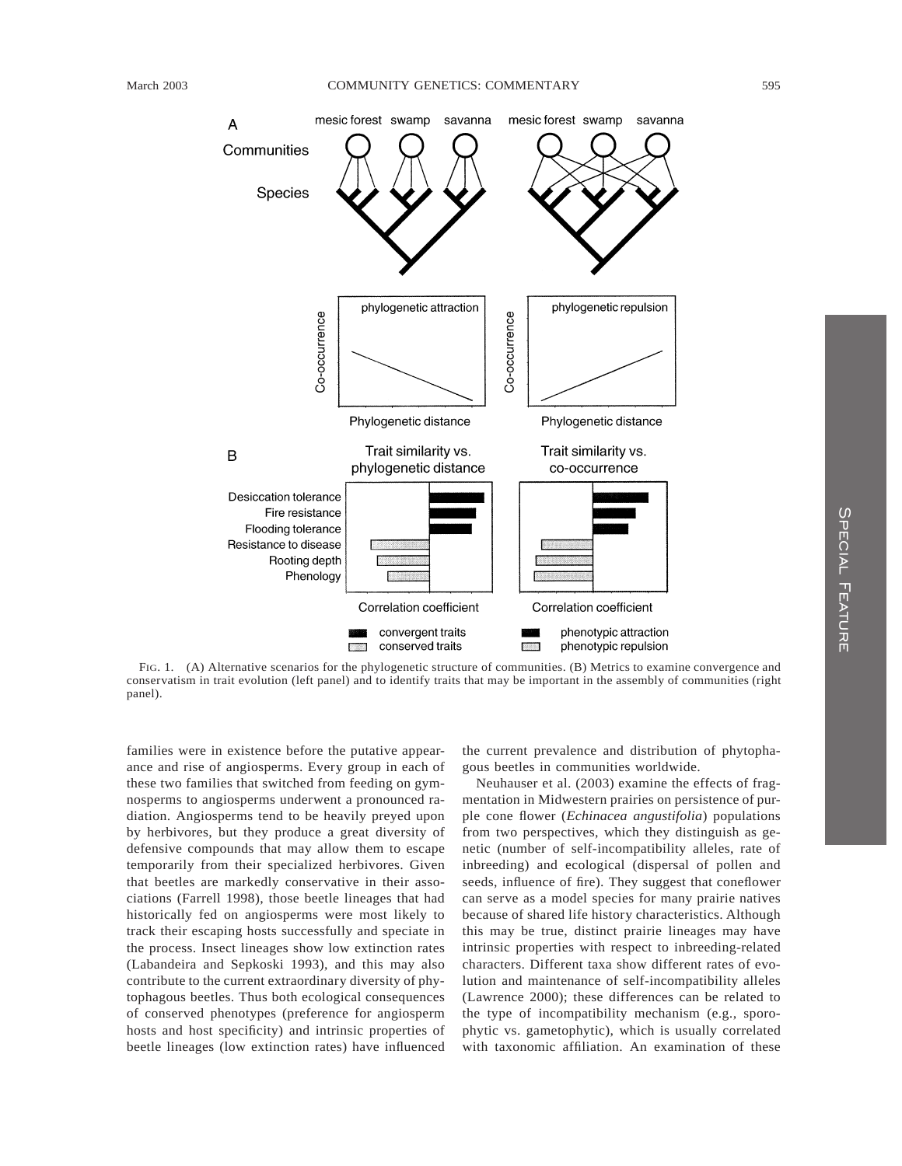## March 2003 COMMUNITY GENETICS: COMMENTARY 595



FIG. 1. (A) Alternative scenarios for the phylogenetic structure of communities. (B) Metrics to examine convergence and conservatism in trait evolution (left panel) and to identify traits that may be important in the assembly of communities (right panel).

families were in existence before the putative appearance and rise of angiosperms. Every group in each of these two families that switched from feeding on gymnosperms to angiosperms underwent a pronounced radiation. Angiosperms tend to be heavily preyed upon by herbivores, but they produce a great diversity of defensive compounds that may allow them to escape temporarily from their specialized herbivores. Given that beetles are markedly conservative in their associations (Farrell 1998), those beetle lineages that had historically fed on angiosperms were most likely to track their escaping hosts successfully and speciate in the process. Insect lineages show low extinction rates (Labandeira and Sepkoski 1993), and this may also contribute to the current extraordinary diversity of phytophagous beetles. Thus both ecological consequences of conserved phenotypes (preference for angiosperm hosts and host specificity) and intrinsic properties of beetle lineages (low extinction rates) have influenced

the current prevalence and distribution of phytophagous beetles in communities worldwide.

Neuhauser et al. (2003) examine the effects of fragmentation in Midwestern prairies on persistence of purple cone flower (*Echinacea angustifolia*) populations from two perspectives, which they distinguish as genetic (number of self-incompatibility alleles, rate of inbreeding) and ecological (dispersal of pollen and seeds, influence of fire). They suggest that coneflower can serve as a model species for many prairie natives because of shared life history characteristics. Although this may be true, distinct prairie lineages may have intrinsic properties with respect to inbreeding-related characters. Different taxa show different rates of evolution and maintenance of self-incompatibility alleles (Lawrence 2000); these differences can be related to the type of incompatibility mechanism (e.g., sporophytic vs. gametophytic), which is usually correlated with taxonomic affiliation. An examination of these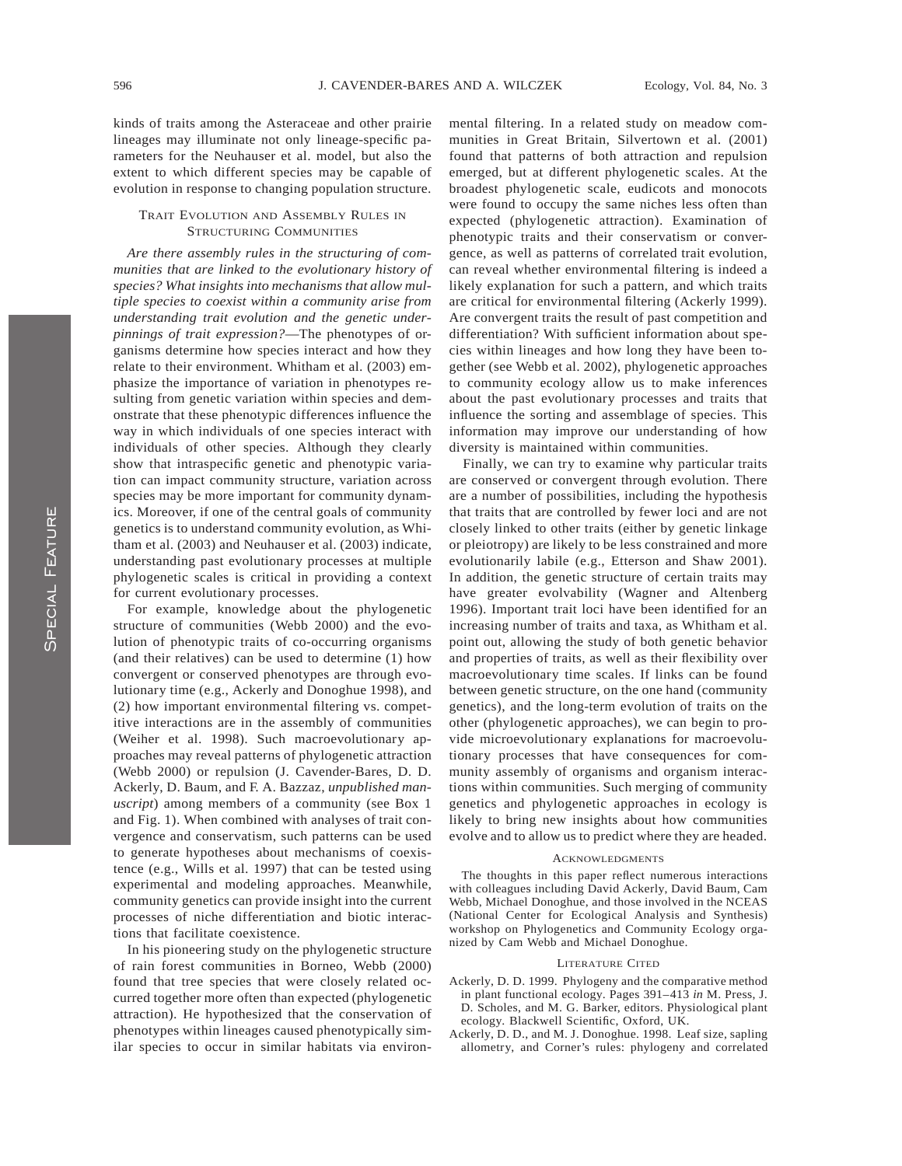kinds of traits among the Asteraceae and other prairie lineages may illuminate not only lineage-specific parameters for the Neuhauser et al. model, but also the extent to which different species may be capable of evolution in response to changing population structure.

## TRAIT EVOLUTION AND ASSEMBLY RULES IN STRUCTURING COMMUNITIES

*Are there assembly rules in the structuring of communities that are linked to the evolutionary history of species? What insights into mechanisms that allow multiple species to coexist within a community arise from understanding trait evolution and the genetic underpinnings of trait expression?*—The phenotypes of organisms determine how species interact and how they relate to their environment. Whitham et al. (2003) emphasize the importance of variation in phenotypes resulting from genetic variation within species and demonstrate that these phenotypic differences influence the way in which individuals of one species interact with individuals of other species. Although they clearly show that intraspecific genetic and phenotypic variation can impact community structure, variation across species may be more important for community dynamics. Moreover, if one of the central goals of community genetics is to understand community evolution, as Whitham et al. (2003) and Neuhauser et al. (2003) indicate, understanding past evolutionary processes at multiple phylogenetic scales is critical in providing a context for current evolutionary processes.

For example, knowledge about the phylogenetic structure of communities (Webb 2000) and the evolution of phenotypic traits of co-occurring organisms (and their relatives) can be used to determine (1) how convergent or conserved phenotypes are through evolutionary time (e.g., Ackerly and Donoghue 1998), and (2) how important environmental filtering vs. competitive interactions are in the assembly of communities (Weiher et al. 1998). Such macroevolutionary approaches may reveal patterns of phylogenetic attraction (Webb 2000) or repulsion (J. Cavender-Bares, D. D. Ackerly, D. Baum, and F. A. Bazzaz, *unpublished manuscript*) among members of a community (see Box 1 and Fig. 1). When combined with analyses of trait convergence and conservatism, such patterns can be used to generate hypotheses about mechanisms of coexistence (e.g., Wills et al. 1997) that can be tested using experimental and modeling approaches. Meanwhile, community genetics can provide insight into the current processes of niche differentiation and biotic interactions that facilitate coexistence.

In his pioneering study on the phylogenetic structure of rain forest communities in Borneo, Webb (2000) found that tree species that were closely related occurred together more often than expected (phylogenetic attraction). He hypothesized that the conservation of phenotypes within lineages caused phenotypically similar species to occur in similar habitats via environmental filtering. In a related study on meadow communities in Great Britain, Silvertown et al. (2001) found that patterns of both attraction and repulsion emerged, but at different phylogenetic scales. At the broadest phylogenetic scale, eudicots and monocots were found to occupy the same niches less often than expected (phylogenetic attraction). Examination of phenotypic traits and their conservatism or convergence, as well as patterns of correlated trait evolution, can reveal whether environmental filtering is indeed a likely explanation for such a pattern, and which traits are critical for environmental filtering (Ackerly 1999). Are convergent traits the result of past competition and differentiation? With sufficient information about species within lineages and how long they have been together (see Webb et al. 2002), phylogenetic approaches to community ecology allow us to make inferences about the past evolutionary processes and traits that influence the sorting and assemblage of species. This information may improve our understanding of how diversity is maintained within communities.

Finally, we can try to examine why particular traits are conserved or convergent through evolution. There are a number of possibilities, including the hypothesis that traits that are controlled by fewer loci and are not closely linked to other traits (either by genetic linkage or pleiotropy) are likely to be less constrained and more evolutionarily labile (e.g., Etterson and Shaw 2001). In addition, the genetic structure of certain traits may have greater evolvability (Wagner and Altenberg 1996). Important trait loci have been identified for an increasing number of traits and taxa, as Whitham et al. point out, allowing the study of both genetic behavior and properties of traits, as well as their flexibility over macroevolutionary time scales. If links can be found between genetic structure, on the one hand (community genetics), and the long-term evolution of traits on the other (phylogenetic approaches), we can begin to provide microevolutionary explanations for macroevolutionary processes that have consequences for community assembly of organisms and organism interactions within communities. Such merging of community genetics and phylogenetic approaches in ecology is likely to bring new insights about how communities evolve and to allow us to predict where they are headed.

### **ACKNOWLEDGMENTS**

The thoughts in this paper reflect numerous interactions with colleagues including David Ackerly, David Baum, Cam Webb, Michael Donoghue, and those involved in the NCEAS (National Center for Ecological Analysis and Synthesis) workshop on Phylogenetics and Community Ecology organized by Cam Webb and Michael Donoghue.

#### LITERATURE CITED

- Ackerly, D. D. 1999. Phylogeny and the comparative method in plant functional ecology. Pages 391–413 *in* M. Press, J. D. Scholes, and M. G. Barker, editors. Physiological plant ecology. Blackwell Scientific, Oxford, UK.
- Ackerly, D. D., and M. J. Donoghue. 1998. Leaf size, sapling allometry, and Corner's rules: phylogeny and correlated